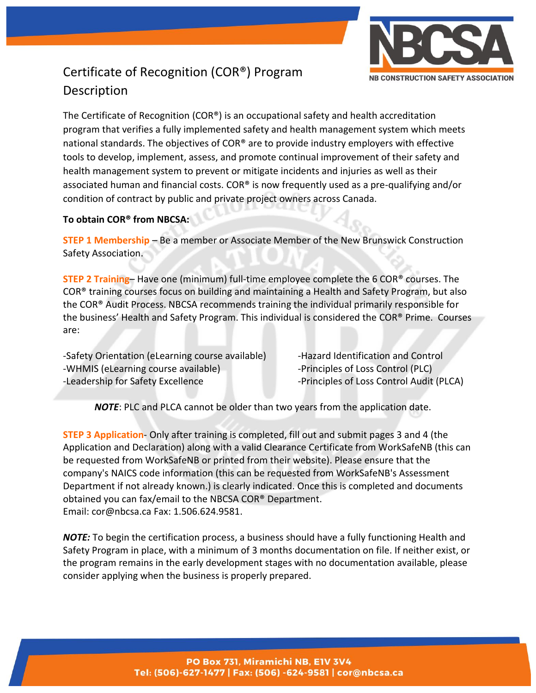

## Certificate of Recognition (COR®) Program Description

The Certificate of Recognition (COR®) is an occupational safety and health accreditation program that verifies a fully implemented safety and health management system which meets national standards. The objectives of COR® are to provide industry employers with effective tools to develop, implement, assess, and promote continual improvement of their safety and health management system to prevent or mitigate incidents and injuries as well as their associated human and financial costs. COR® is now frequently used as a pre-qualifying and/or condition of contract by public and private project owners across Canada.

### **To obtain COR® from NBCSA:**

**STEP 1 Membership** – Be a member or Associate Member of the New Brunswick Construction Safety Association.

**STEP 2 Training**– Have one (minimum) full-time employee complete the 6 COR® courses. The COR® training courses focus on building and maintaining a Health and Safety Program, but also the COR® Audit Process. NBCSA recommends training the individual primarily responsible for the business' Health and Safety Program. This individual is considered the COR® Prime. Courses are:

-Safety Orientation (eLearning course available) - Hazard Identification and Control -WHMIS (eLearning course available) - Principles of Loss Control (PLC) -Leadership for Safety Excellence - - Principles of Loss Control Audit (PLCA)

*NOTE*: PLC and PLCA cannot be older than two years from the application date.

**STEP 3 Application**- Only after training is completed, fill out and submit pages 3 and 4 (the Application and Declaration) along with a valid Clearance Certificate from WorkSafeNB (this can be requested from WorkSafeNB or printed from their website). Please ensure that the company's NAICS code information (this can be requested from WorkSafeNB's Assessment Department if not already known.) is clearly indicated. Once this is completed and documents obtained you can fax/email to the NBCSA COR® Department. Email: cor@nbcsa.ca Fax: 1.506.624.9581.

*NOTE:* To begin the certification process, a business should have a fully functioning Health and Safety Program in place, with a minimum of 3 months documentation on file. If neither exist, or the program remains in the early development stages with no documentation available, please consider applying when the business is properly prepared.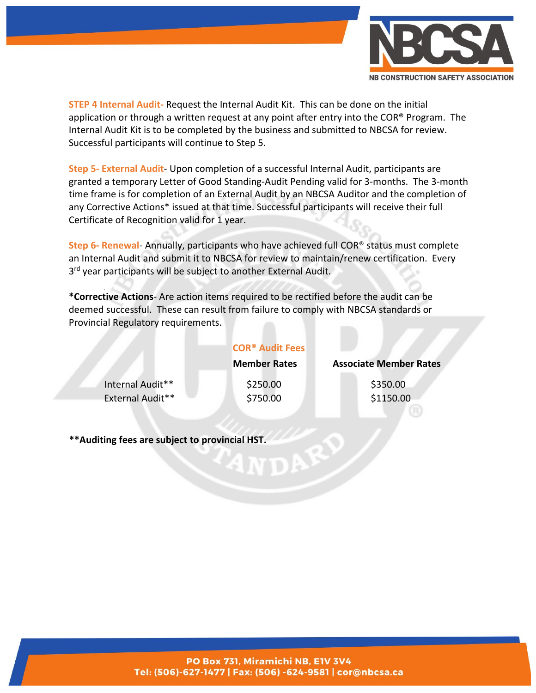

**STEP 4 Internal Audit-** Request the Internal Audit Kit. This can be done on the initial application or through a written request at any point after entry into the COR® Program. The Internal Audit Kit is to be completed by the business and submitted to NBCSA for review. Successful participants will continue to Step 5.

**Step 5- External Audit**- Upon completion of a successful Internal Audit, participants are granted a temporary Letter of Good Standing-Audit Pending valid for 3-months. The 3-month time frame is for completion of an External Audit by an NBCSA Auditor and the completion of any Corrective Actions\* issued at that time. Successful participants will receive their full Certificate of Recognition valid for 1 year.

**Step 6- Renewal**- Annually, participants who have achieved full COR® status must complete an Internal Audit and submit it to NBCSA for review to maintain/renew certification. Every 3<sup>rd</sup> year participants will be subject to another External Audit.

**\*Corrective Actions**- Are action items required to be rectified before the audit can be deemed successful. These can result from failure to comply with NBCSA standards or Provincial Regulatory requirements.

|                         | <b>COR<sup>®</sup> Audit Fees</b> |                               |
|-------------------------|-----------------------------------|-------------------------------|
|                         | <b>Member Rates</b>               | <b>Associate Member Rates</b> |
| Internal Audit**        | \$250.00                          | \$350.00                      |
| <b>External Audit**</b> | \$750.00                          | \$1150.00                     |

**\*\*Auditing fees are subject to provincial HST.**

#### PO Box 731, Miramichi NB, E1V 3V4 Tel: (506)-627-1477 | Fax: (506) -624-9581 | cor@nbcsa.ca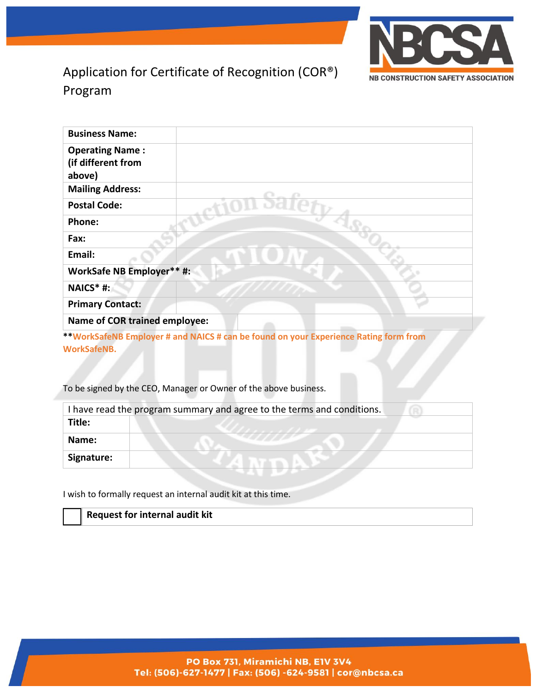

## Application for Certificate of Recognition (COR®) Program

| <b>Business Name:</b>                                  |                                                                                      |
|--------------------------------------------------------|--------------------------------------------------------------------------------------|
| <b>Operating Name:</b><br>(if different from<br>above) |                                                                                      |
| <b>Mailing Address:</b>                                |                                                                                      |
| <b>Postal Code:</b>                                    |                                                                                      |
| Phone:                                                 |                                                                                      |
| Fax:                                                   |                                                                                      |
| Email:                                                 |                                                                                      |
| WorkSafe NB Employer** #:                              |                                                                                      |
| NAICS* #:                                              |                                                                                      |
| <b>Primary Contact:</b>                                |                                                                                      |
| Name of COR trained employee:                          |                                                                                      |
|                                                        | **WorkSafeNB Employer # and NAICS # can be found on your Experience Rating form from |

**\*\*WorkSafeNB Employer # and NAICS # can be found on your Experience Rating form from WorkSafeNB.**

To be signed by the CEO, Manager or Owner of the above business.

|            | I have read the program summary and agree to the terms and conditions. |
|------------|------------------------------------------------------------------------|
| Title:     |                                                                        |
| Name:      |                                                                        |
| Signature: |                                                                        |

I wish to formally request an internal audit kit at this time.

**Request for internal audit kit**